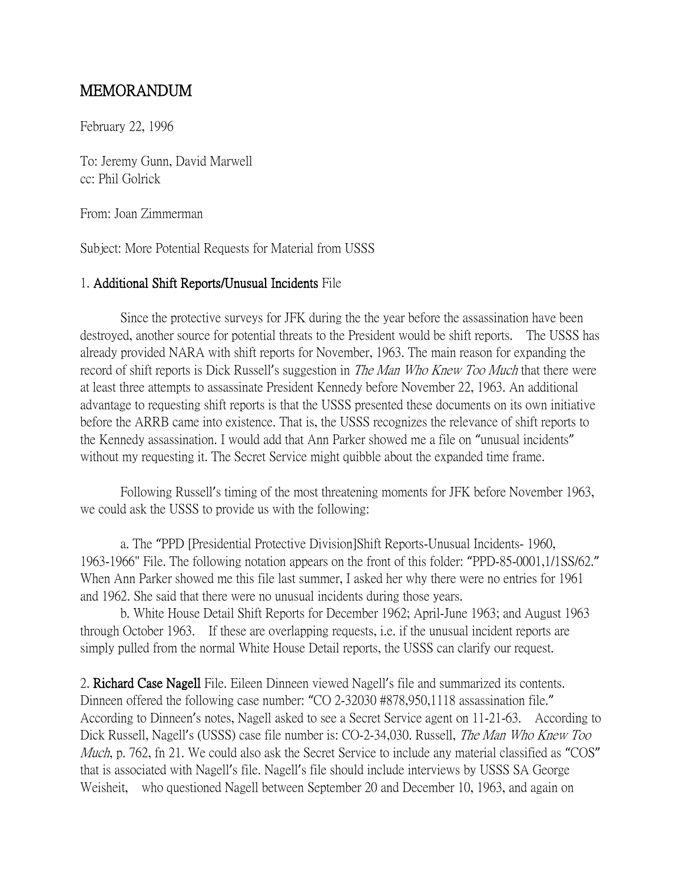## MEMORANDUM

February 22, 1996

To: Jeremy Gunn, David Marwell cc: Phil Golrick

From: Joan Zimmerman

Subject: More Potential Requests for Material from USSS

## 1. Additional Shift Reports/Unusual Incidents File

Since the protective surveys for JFK during the the year before the assassination have been destroyed, another source for potential threats to the President would be shift reports. The USSS has already provided NARA with shift reports for November, 1963. The main reason for expanding the record of shift reports is Dick Russell's suggestion in *The Man Who Knew Too Much* that there were at least three attempts to assassinate President Kennedy before November 22, 1963. An additional advantage to requesting shift reports is that the USSS presented these documents on its own initiative before the ARRB came into existence. That is, the USSS recognizes the relevance of shift reports to the Kennedy assassination. I would add that Ann Parker showed me a file on "unusual incidents" without my requesting it. The Secret Service might quibble about the expanded time frame.

Following Russell's timing of the most threatening moments for JFK before November 1963, we could ask the USSS to provide us with the following:

a. The "PPD [Presidential Protective Division]Shift Reports-Unusual Incidents- 1960, 1963-1966" File. The following notation appears on the front of this folder: "PPD-85-0001,1/1SS/62." When Ann Parker showed me this file last summer, I asked her why there were no entries for 1961 and 1962. She said that there were no unusual incidents during those years.

b. White House Detail Shift Reports for December 1962; April-June 1963; and August 1963 through October 1963. If these are overlapping requests, i.e. if the unusual incident reports are simply pulled from the normal White House Detail reports, the USSS can clarify our request.

2. Richard Case Nagell File. Eileen Dinneen viewed Nagell's file and summarized its contents. Dinneen offered the following case number: "CO 2-32030 #878,950,1118 assassination file." According to Dinneen's notes, Nagell asked to see a Secret Service agent on 11-21-63. According to Dick Russell, Nagell's (USSS) case file number is: CO-2-34,030. Russell, *The Man Who Knew Too* Much, p. 762, fn 21. We could also ask the Secret Service to include any material classified as "COS" that is associated with Nagell's file. Nagell's file should include interviews by USSS SA George Weisheit, who questioned Nagell between September 20 and December 10, 1963, and again on